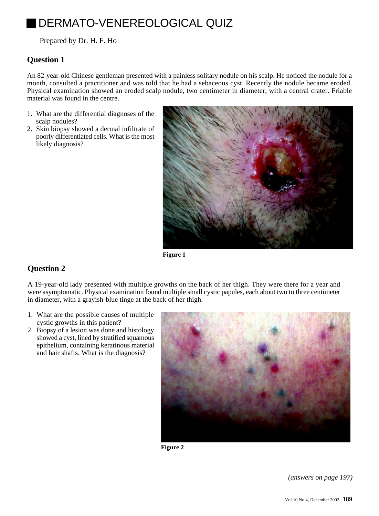# DERMATO-VENEREOLOGICAL QUIZ

Prepared by Dr. H. F. Ho

## **Question 1**

An 82-year-old Chinese gentleman presented with a painless solitary nodule on his scalp. He noticed the nodule for a month, consulted a practitioner and was told that he had a sebaceous cyst. Recently the nodule became eroded. Physical examination showed an eroded scalp nodule, two centimeter in diameter, with a central crater. Friable material was found in the centre.

- 1. What are the differential diagnoses of the scalp nodules?
- 2. Skin biopsy showed a dermal infiltrate of poorly differentiated cells. What is the most likely diagnosis?



**Figure 1**

# **Question 2**

A 19-year-old lady presented with multiple growths on the back of her thigh. They were there for a year and were asymptomatic. Physical examination found multiple small cystic papules, each about two to three centimeter in diameter, with a grayish-blue tinge at the back of her thigh.

- 1. What are the possible causes of multiple cystic growths in this patient?
- 2. Biopsy of a lesion was done and histology showed a cyst, lined by stratified squamous epithelium, containing keratinous material and hair shafts. What is the diagnosis?



**Figure 2**

*(answers on page 197)*